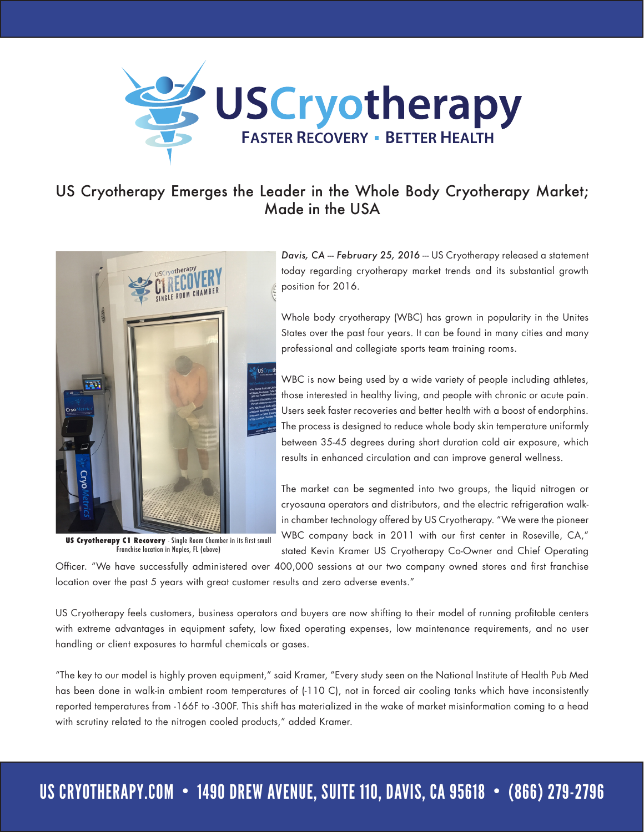

## US Cryotherapy Emerges the Leader in the Whole Body Cryotherapy Market; Made in the USA



**US Cryotherapy C1 Recovery** - Single Room Chamber in its first small Franchise location in Naples, FL (above)

Davis, CA -- February 25, 2016 -- US Cryotherapy released a statement today regarding cryotherapy market trends and its substantial growth position for 2016.

Whole body cryotherapy (WBC) has grown in popularity in the Unites States over the past four years. It can be found in many cities and many professional and collegiate sports team training rooms.

WBC is now being used by a wide variety of people including athletes, those interested in healthy living, and people with chronic or acute pain. Users seek faster recoveries and better health with a boost of endorphins. The process is designed to reduce whole body skin temperature uniformly between 35-45 degrees during short duration cold air exposure, which results in enhanced circulation and can improve general wellness.

The market can be segmented into two groups, the liquid nitrogen or cryosauna operators and distributors, and the electric refrigeration walkin chamber technology offered by US Cryotherapy. "We were the pioneer WBC company back in 2011 with our first center in Roseville, CA," stated Kevin Kramer US Cryotherapy Co-Owner and Chief Operating

Officer. "We have successfully administered over 400,000 sessions at our two company owned stores and first franchise location over the past 5 years with great customer results and zero adverse events."

US Cryotherapy feels customers, business operators and buyers are now shifting to their model of running profitable centers with extreme advantages in equipment safety, low fixed operating expenses, low maintenance requirements, and no user handling or client exposures to harmful chemicals or gases.

"The key to our model is highly proven equipment," said Kramer, "Every study seen on the National Institute of Health Pub Med has been done in walk-in ambient room temperatures of (-110 C), not in forced air cooling tanks which have inconsistently reported temperatures from -166F to -300F. This shift has materialized in the wake of market misinformation coming to a head with scrutiny related to the nitrogen cooled products," added Kramer.

## US CRYOTHERAPY.COM • 1490 DREW AVENUE, SUITE 110, DAVIS, CA 95618 • (866) 279-2796